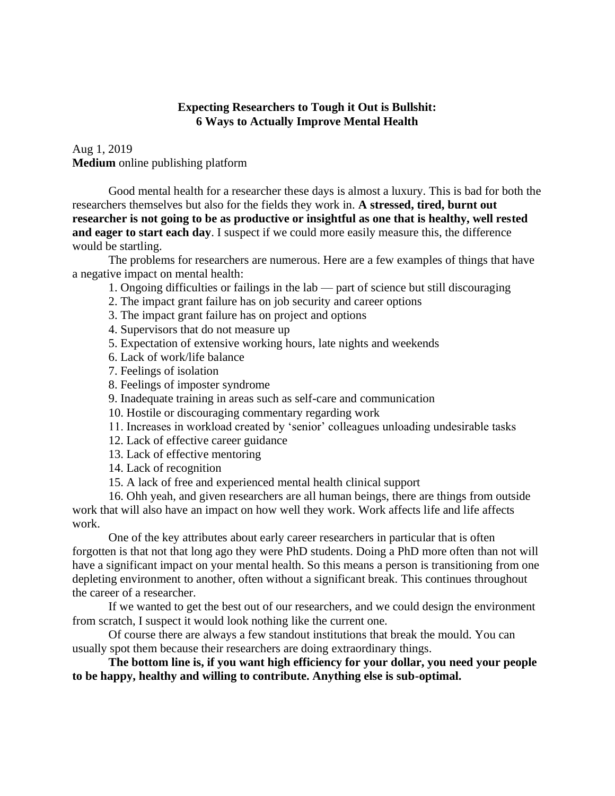# **Expecting Researchers to Tough it Out is Bullshit: 6 Ways to Actually Improve Mental Health**

[Aug 1,](https://medium.com/@DrShaneRRR/expecting-researchers-to-tough-it-out-is-bullshit-6-ways-to-actually-improve-mental-health-970a53a76c9c?source=post_page---------------------------) 2019 **Medium** online publishing platform

Good mental health for a researcher these days is almost a luxury. This is bad for both the researchers themselves but also for the fields they work in. **A stressed, tired, burnt out researcher is not going to be as productive or insightful as one that is healthy, well rested and eager to start each day**. I suspect if we could more easily measure this, the difference would be startling.

The problems for researchers are numerous. Here are a few examples of things that have a negative impact on mental health:

- 1. Ongoing difficulties or failings in the lab part of science but still discouraging
- 2. The impact grant failure has on job security and career options
- 3. The impact grant failure has on project and options
- 4. Supervisors that do not measure up
- 5. Expectation of extensive working hours, late nights and weekends
- 6. Lack of work/life balance
- 7. Feelings of isolation
- 8. Feelings of [imposter syndrome](https://medium.com/@DrShaneRRR/imposter-syndrome-imposter-island-is-more-like-it-de5aacc81c68)
- 9. Inadequate training in areas such as self-care and communication
- 10. Hostile or discouraging commentary regarding work
- 11. Increases in workload created by 'senior' colleagues unloading undesirable tasks
- 12. Lack of effective career guidance
- 13. Lack of effective mentoring
- 14. Lack of recognition
- 15. A lack of free and experienced mental health clinical support

16. Ohh yeah, and given researchers are all human beings, there are things from outside work that will also have an impact on how well they work. Work affects life and life affects work.

One of the key attributes about early career researchers in particular that is often forgotten is that not that long ago they were [PhD students.](https://medium.com/@DrShaneRRR/why-you-should-quit-your-phd-990c194ec767) Doing a PhD more often than not will have a significant impact on your mental health. So this means a person is transitioning from one depleting environment to another, often without a significant break. This continues throughout the career of a researcher.

If we wanted to get the best out of our researchers, and we could design the environment from scratch, I suspect it would look nothing like the current one.

Of course there are always a few standout institutions that break the mould. You can usually spot them because their researchers are doing extraordinary things.

**The bottom line is, if you want high efficiency for your dollar, you need your people to be happy, healthy and willing to contribute. Anything else is sub-optimal.**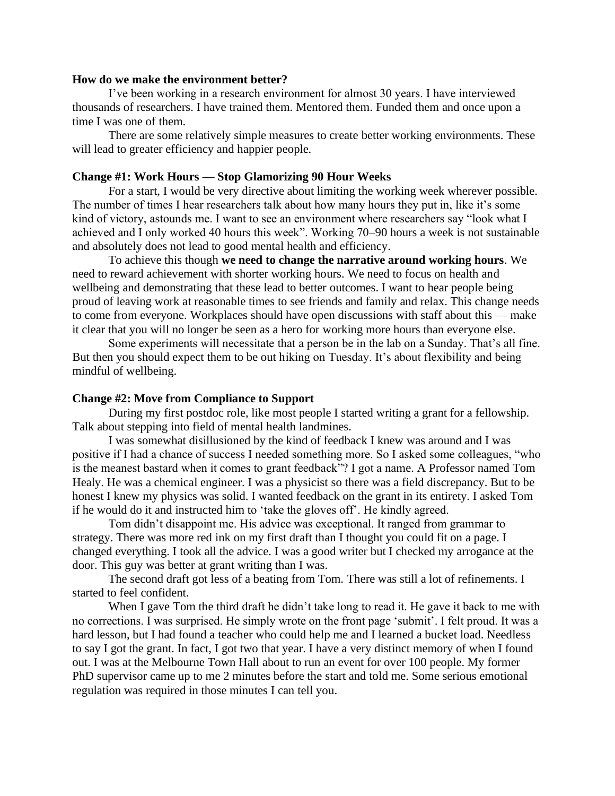### **How do we make the environment better?**

I've been working in a research environment for almost 30 years. I have interviewed thousands of researchers. I have trained them. Mentored them. Funded them and once upon a time I was one of them.

There are some relatively simple measures to create better working environments. These will lead to greater efficiency and happier people.

#### **Change #1: Work Hours — Stop Glamorizing 90 Hour Weeks**

For a start, I would be very directive about limiting the working week wherever possible. The number of times I hear researchers talk about how many hours they put in, like it's some kind of victory, astounds me. I want to see an environment where researchers say "look what I achieved and I only worked 40 hours this week". Working 70–90 hours a week is not sustainable and absolutely does not lead to good mental health and efficiency.

To achieve this though **we need to change the narrative around working hours**. We need to reward achievement with shorter working hours. We need to focus on health and wellbeing and demonstrating that these lead to better outcomes. I want to hear people being proud of leaving work at reasonable times to see friends and family and relax. This change needs to come from everyone. Workplaces should have open discussions with staff about this — make it clear that you will no longer be seen as a hero for working more hours than everyone else.

Some experiments will necessitate that a person be in the lab on a Sunday. That's all fine. But then you should expect them to be out hiking on Tuesday. It's about flexibility and being mindful of wellbeing.

#### **Change #2: Move from Compliance to Support**

During my first postdoc role, like most people I started writing a grant for a fellowship. Talk about stepping into field of mental health landmines.

I was somewhat disillusioned by the kind of feedback I knew was around and I was positive if I had a chance of success I needed something more. So I asked some colleagues, "who is the meanest bastard when it comes to grant feedback"? I got a name. A Professor named Tom Healy. He was a chemical engineer. I was a physicist so there was a field discrepancy. But to be honest I knew my physics was solid. I wanted feedback on the grant in its entirety. I asked Tom if he would do it and instructed him to 'take the gloves off'. He kindly agreed.

Tom didn't disappoint me. His advice was exceptional. It ranged from grammar to strategy. There was more red ink on my first draft than I thought you could fit on a page. I changed everything. I took all the advice. I was a good writer but I checked my arrogance at the door. This guy was better at grant writing than I was.

The second draft got less of a beating from Tom. There was still a lot of refinements. I started to feel confident.

When I gave Tom the third draft he didn't take long to read it. He gave it back to me with no corrections. I was surprised. He simply wrote on the front page 'submit'. I felt proud. It was a hard lesson, but I had found a teacher who could help me and I learned a bucket load. Needless to say I got the grant. In fact, I got two that year. I have a very distinct memory of when I found out. I was at the Melbourne Town Hall about to run an event for over 100 people. My former PhD supervisor came up to me 2 minutes before the start and told me. Some serious emotional regulation was required in those minutes I can tell you.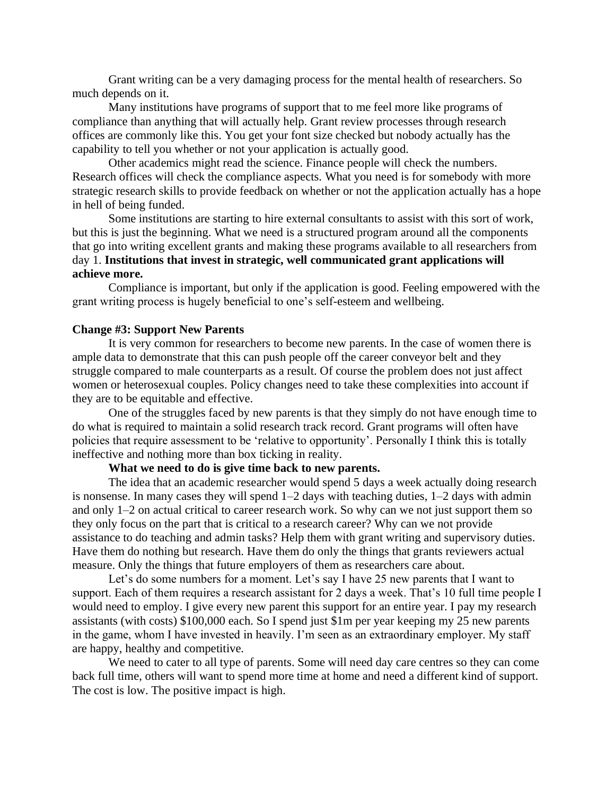Grant writing can be a very damaging process for the mental health of researchers. So much depends on it.

Many institutions have programs of support that to me feel more like programs of compliance than anything that will actually help. Grant review processes through research offices are commonly like this. You get your font size checked but nobody actually has the capability to tell you whether or not your application is actually good.

Other academics might read the science. Finance people will check the numbers. Research offices will check the compliance aspects. What you need is for somebody with more strategic research skills to provide feedback on whether or not the application actually has a hope in hell of being funded.

Some institutions are starting to hire external consultants to assist with this sort of work, but this is just the beginning. What we need is a structured program around all the components that go into writing excellent grants and making these programs available to all researchers from day 1. **Institutions that invest in strategic, well communicated grant applications will achieve more.**

Compliance is important, but only if the application is good. Feeling empowered with the grant writing process is hugely beneficial to one's self-esteem and wellbeing.

#### **Change #3: Support New Parents**

It is very common for researchers to become new parents. In the case of women there is ample data to demonstrate that this can push people off the career conveyor belt and they struggle compared to male counterparts as a result. Of course the problem does not just affect women or heterosexual couples. Policy changes need to take these complexities into account if they are to be equitable and effective.

One of the struggles faced by new parents is that they simply do not have enough time to do what is required to maintain a solid research track record. Grant programs will often have policies that require assessment to be 'relative to opportunity'. Personally I think this is totally ineffective and nothing more than box ticking in reality.

### **What we need to do is give time back to new parents.**

The idea that an academic researcher would spend 5 days a week actually doing research is nonsense. In many cases they will spend 1–2 days with teaching duties, 1–2 days with admin and only 1–2 on actual critical to career research work. So why can we not just support them so they only focus on the part that is critical to a research career? Why can we not provide assistance to do teaching and admin tasks? Help them with grant writing and supervisory duties. Have them do nothing but research. Have them do only the things that grants reviewers actual measure. Only the things that future employers of them as researchers care about.

Let's do some numbers for a moment. Let's say I have 25 new parents that I want to support. Each of them requires a research assistant for 2 days a week. That's 10 full time people I would need to employ. I give every new parent this support for an entire year. I pay my research assistants (with costs) \$100,000 each. So I spend just \$1m per year keeping my 25 new parents in the game, whom I have invested in heavily. I'm seen as an extraordinary employer. My staff are happy, healthy and competitive.

We need to cater to all type of parents. Some will need day care centres so they can come back full time, others will want to spend more time at home and need a different kind of support. The cost is low. The positive impact is high.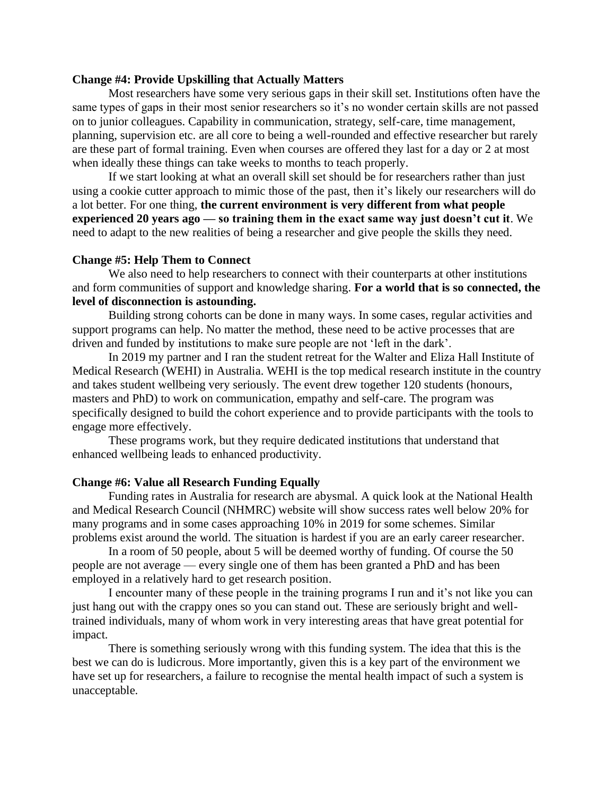## **Change #4: Provide Upskilling that Actually Matters**

Most researchers have some very serious gaps in their skill set. Institutions often have the same types of gaps in their most senior researchers so it's no wonder certain skills are not passed on to junior colleagues. Capability in communication, strategy, self-care, time management, planning, supervision etc. are all core to being a well-rounded and effective researcher but rarely are these part of formal training. Even when courses are offered they last for a day or 2 at most when ideally these things can take weeks to months to teach properly.

If we start looking at what an overall skill set should be for researchers rather than just using a cookie cutter approach to mimic those of the past, then it's likely our researchers will do a lot better. For one thing, **the current environment is very different from what people experienced 20 years ago — so training them in the exact same way just doesn't cut it**. We need to adapt to the new realities of being a researcher and give people the skills they need.

### **Change #5: Help Them to Connect**

We also need to help researchers to connect with their counterparts at other institutions and form communities of support and knowledge sharing. **For a world that is so connected, the level of disconnection is astounding.**

Building strong cohorts can be done in many ways. In some cases, regular activities and support programs can help. No matter the method, these need to be active processes that are driven and funded by institutions to make sure people are not 'left in the dark'.

In 2019 my partner and I ran the student retreat for the Walter and Eliza Hall Institute of Medical Research (WEHI) in Australia. WEHI is the top medical research institute in the country and takes student wellbeing very seriously. The event drew together 120 students (honours, masters and PhD) to work on communication, empathy and self-care. The program was specifically designed to build the cohort experience and to provide participants with the tools to engage more effectively.

These programs work, but they require dedicated institutions that understand that enhanced wellbeing leads to enhanced productivity.

#### **Change #6: Value all Research Funding Equally**

Funding rates in Australia for research are abysmal. A quick look at the National Health and Medical Research Council (NHMRC) website will show success rates well below 20% for many programs and in some cases approaching 10% in 2019 for some schemes. Similar problems exist around the world. The situation is hardest if you are an early career researcher.

In a room of 50 people, about 5 will be deemed worthy of funding. Of course the 50 people are not average — every single one of them has been granted a PhD and has been employed in a relatively hard to get research position.

I encounter many of these people in the training programs I run and it's not like you can just hang out with the crappy ones so you can stand out. These are seriously bright and welltrained individuals, many of whom work in very interesting areas that have great potential for impact.

There is something seriously wrong with this funding system. The idea that this is the best we can do is ludicrous. More importantly, given this is a key part of the environment we have set up for researchers, a failure to recognise the mental health impact of such a system is unacceptable.